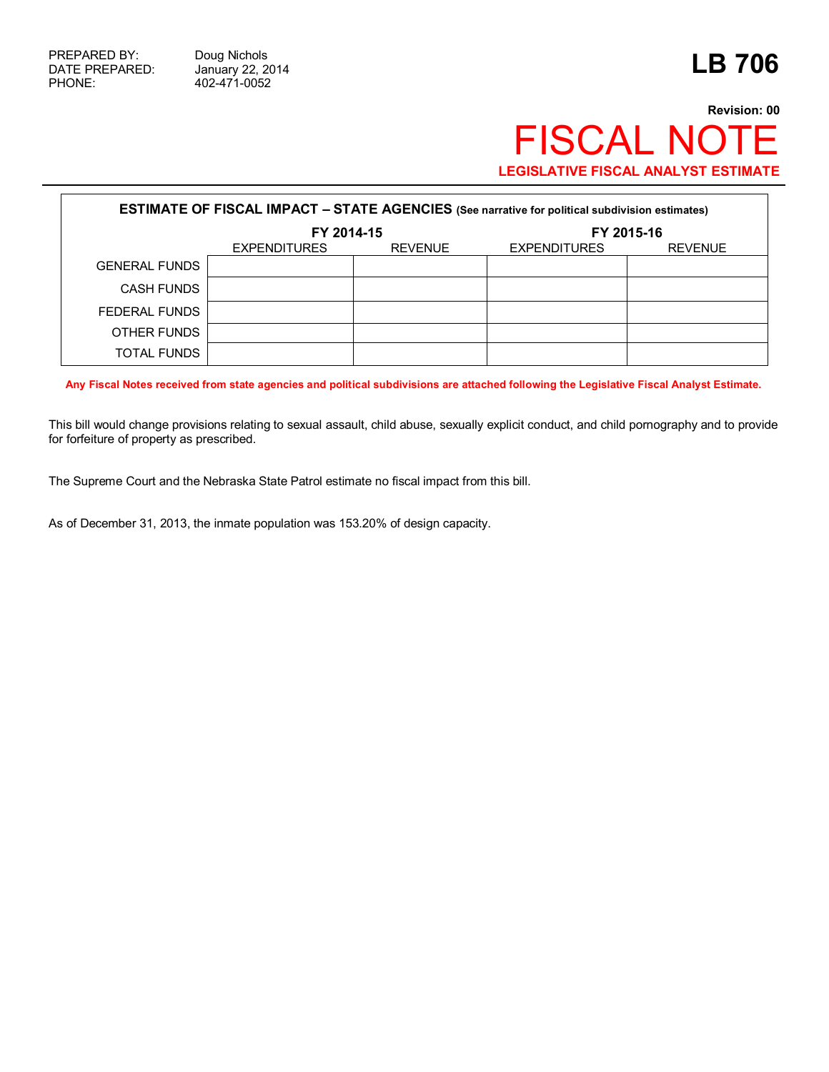## **Revision: 00** FISCAL NOTE **LEGISLATIVE FISCAL ANALYST ESTIMATE**

| <b>ESTIMATE OF FISCAL IMPACT - STATE AGENCIES</b> (See narrative for political subdivision estimates) |                     |                |                     |                |  |
|-------------------------------------------------------------------------------------------------------|---------------------|----------------|---------------------|----------------|--|
|                                                                                                       | FY 2014-15          |                | FY 2015-16          |                |  |
|                                                                                                       | <b>EXPENDITURES</b> | <b>REVENUE</b> | <b>EXPENDITURES</b> | <b>REVENUE</b> |  |
| <b>GENERAL FUNDS</b>                                                                                  |                     |                |                     |                |  |
| <b>CASH FUNDS</b>                                                                                     |                     |                |                     |                |  |
| FEDERAL FUNDS                                                                                         |                     |                |                     |                |  |
| OTHER FUNDS                                                                                           |                     |                |                     |                |  |
| TOTAL FUNDS                                                                                           |                     |                |                     |                |  |

**Any Fiscal Notes received from state agencies and political subdivisions are attached following the Legislative Fiscal Analyst Estimate.**

This bill would change provisions relating to sexual assault, child abuse, sexually explicit conduct, and child pornography and to provide for forfeiture of property as prescribed.

The Supreme Court and the Nebraska State Patrol estimate no fiscal impact from this bill.

As of December 31, 2013, the inmate population was 153.20% of design capacity.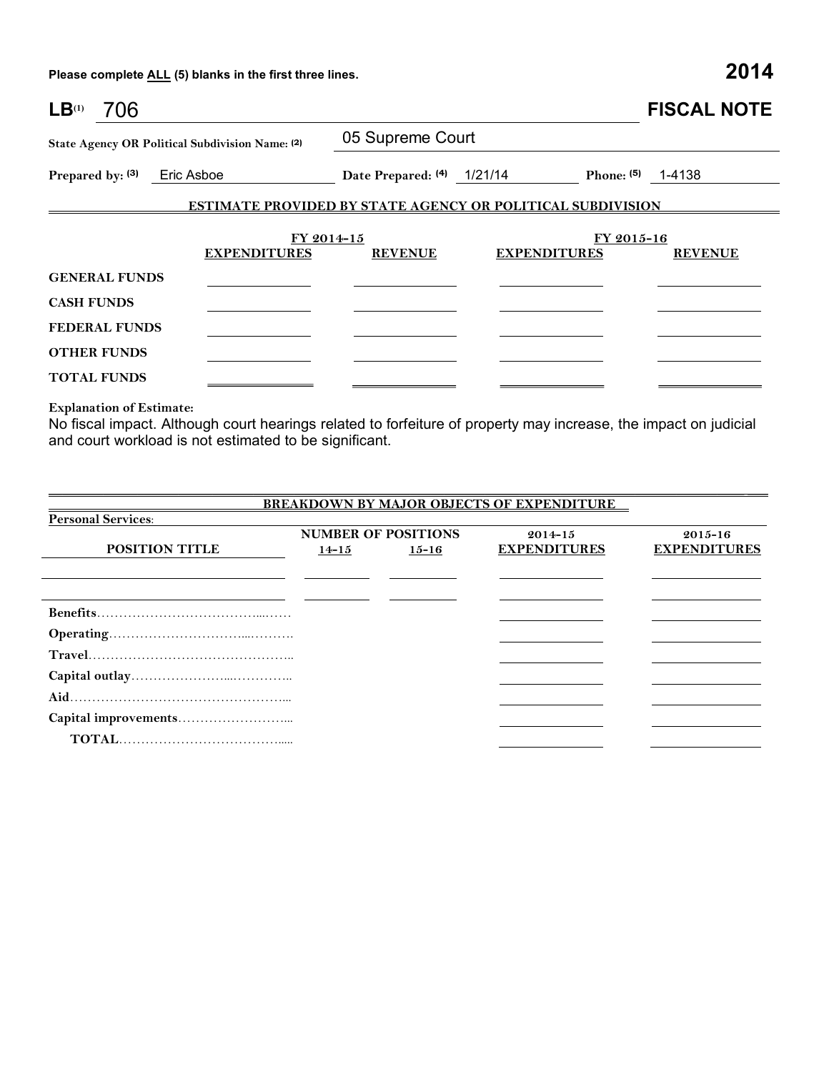**Please complete ALL (5) blanks in the first three lines. 2014**

| $LB^{(1)}$<br>706                               |                     |                            |                                                                   | <b>FISCAL NOTE</b>  |
|-------------------------------------------------|---------------------|----------------------------|-------------------------------------------------------------------|---------------------|
| State Agency OR Political Subdivision Name: (2) |                     | 05 Supreme Court           |                                                                   |                     |
| Prepared by: (3) Eric Asboe                     |                     | Date Prepared: (4) 1/21/14 |                                                                   | Phone: $(5)$ 1-4138 |
|                                                 |                     |                            | <b>ESTIMATE PROVIDED BY STATE AGENCY OR POLITICAL SUBDIVISION</b> |                     |
|                                                 | FY 2014-15          |                            |                                                                   | FY 2015-16          |
|                                                 | <b>EXPENDITURES</b> | <b>REVENUE</b>             | <b>EXPENDITURES</b>                                               | <b>REVENUE</b>      |
| <b>GENERAL FUNDS</b>                            |                     |                            |                                                                   |                     |
| <b>CASH FUNDS</b>                               |                     |                            |                                                                   |                     |
| <b>FEDERAL FUNDS</b>                            |                     |                            |                                                                   |                     |
| <b>OTHER FUNDS</b>                              |                     |                            |                                                                   |                     |
| <b>TOTAL FUNDS</b>                              |                     |                            |                                                                   |                     |

**Explanation of Estimate:**

No fiscal impact. Although court hearings related to forfeiture of property may increase, the impact on judicial and court workload is not estimated to be significant.

|                           |           |                            | <b>BREAKDOWN BY MAJOR OBJECTS OF EXPENDITURE</b> |                     |
|---------------------------|-----------|----------------------------|--------------------------------------------------|---------------------|
| <b>Personal Services:</b> |           |                            |                                                  |                     |
|                           |           | <b>NUMBER OF POSITIONS</b> | $2014 - 15$                                      | $2015 - 16$         |
| <b>POSITION TITLE</b>     | $14 - 15$ | $15 - 16$                  | <b>EXPENDITURES</b>                              | <b>EXPENDITURES</b> |
|                           |           |                            |                                                  |                     |
|                           |           |                            |                                                  |                     |
|                           |           |                            |                                                  |                     |
|                           |           |                            |                                                  |                     |
|                           |           |                            |                                                  |                     |
|                           |           |                            |                                                  |                     |
|                           |           |                            |                                                  |                     |
|                           |           |                            |                                                  |                     |
|                           |           |                            |                                                  |                     |
|                           |           |                            |                                                  |                     |